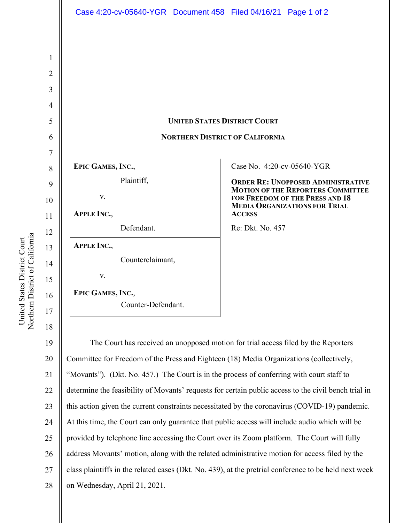

25 26 27 provided by telephone line accessing the Court over its Zoom platform. The Court will fully address Movants' motion, along with the related administrative motion for access filed by the class plaintiffs in the related cases (Dkt. No. 439), at the pretrial conference to be held next week

a United States District Court United States District Court Northern District of Californi